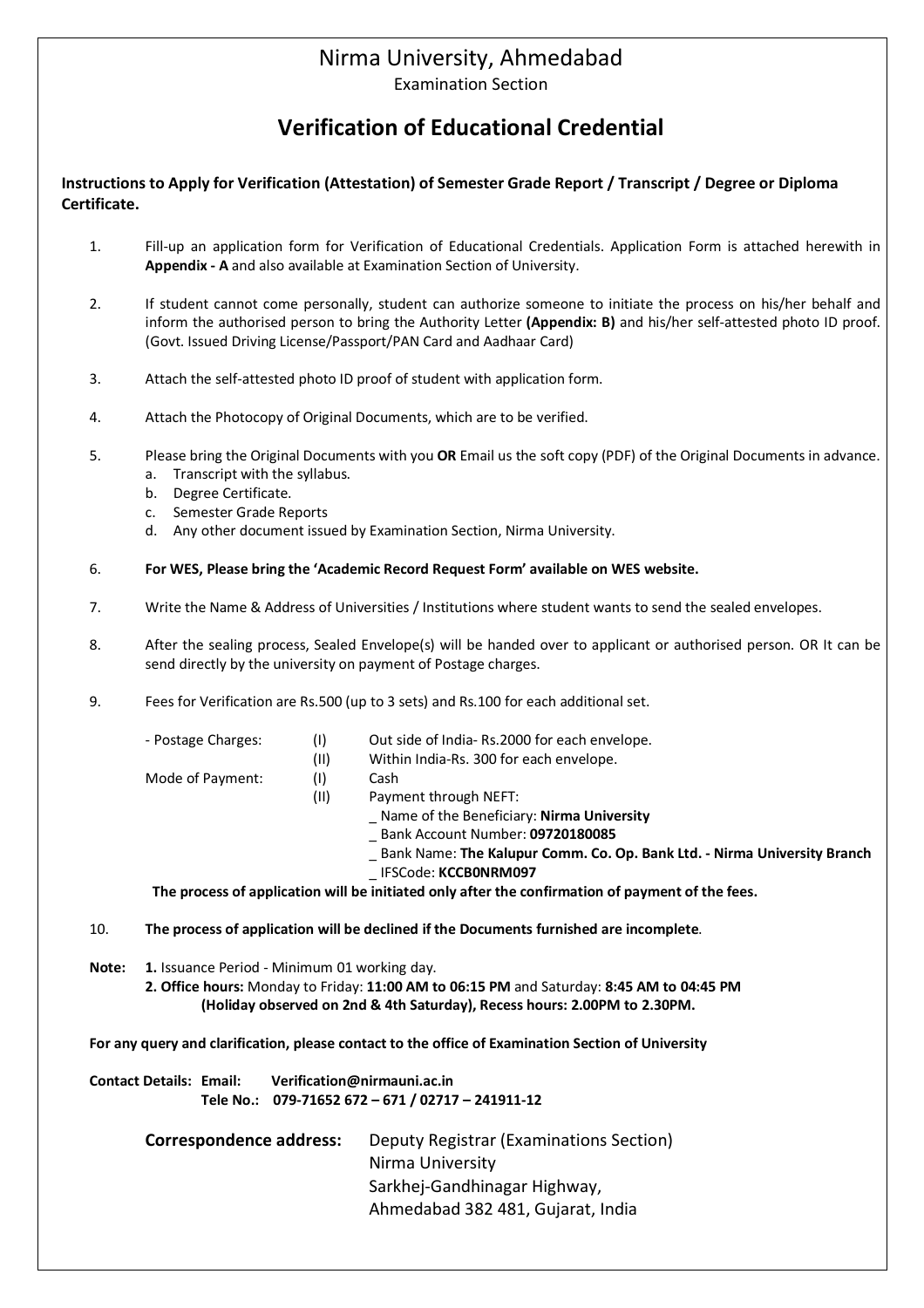## Nirma University, Ahmedabad

Examination Section

## **Verification of Educational Credential**

**Instructions to Apply for Verification (Attestation) of Semester Grade Report / Transcript / Degree or Diploma Certificate.** 

- 1. Fill-up an application form for Verification of Educational Credentials. Application Form is attached herewith in **Appendix - A** and also available at Examination Section of University.
- 2. If student cannot come personally, student can authorize someone to initiate the process on his/her behalf and inform the authorised person to bring the Authority Letter **(Appendix: B)** and his/her self-attested photo ID proof. (Govt. Issued Driving License/Passport/PAN Card and Aadhaar Card)
- 3. Attach the self-attested photo ID proof of student with application form.
- 4. Attach the Photocopy of Original Documents, which are to be verified.
- 5. Please bring the Original Documents with you **OR** Email us the soft copy (PDF) of the Original Documents in advance.
	- a. Transcript with the syllabus.
	- b. Degree Certificate.
	- c. Semester Grade Reports
	- d. Any other document issued by Examination Section, Nirma University.
- 6. **For WES, Please bring the 'Academic Record Request Form' available on WES website.**
- 7. Write the Name & Address of Universities / Institutions where student wants to send the sealed envelopes.
- 8. After the sealing process, Sealed Envelope(s) will be handed over to applicant or authorised person. OR It can be send directly by the university on payment of Postage charges.
- 9. Fees for Verification are Rs.500 (up to 3 sets) and Rs.100 for each additional set.
	-
	- Postage Charges: (I) Out side of India- Rs.2000 for each envelope.
		- (II) Within India-Rs. 300 for each envelope.
	- Mode of Payment: (I) Cash
		- (II) Payment through NEFT:
			- \_ Name of the Beneficiary: **Nirma University**
			- \_ Bank Account Number: **09720180085**
			- \_ Bank Name: **The Kalupur Comm. Co. Op. Bank Ltd. Nirma University Branch**
			- \_ IFSCode: **KCCB0NRM097**

 **The process of application will be initiated only after the confirmation of payment of the fees.**

10. **The process of application will be declined if the Documents furnished are incomplete**.

**Note: 1.** Issuance Period - Minimum 01 working day.

**2. Office hours:** Monday to Friday: **11:00 AM to 06:15 PM** and Saturday: **8:45 AM to 04:45 PM (Holiday observed on 2nd & 4th Saturday), Recess hours: 2.00PM to 2.30PM.**

**For any query and clarification, please contact to the office of Examination Section of University**

**Contact Details: Email: Verification@nirmauni.ac.in Tele No.: 079-71652 672 – 671 / 02717 – 241911-12 Correspondence address:** Deputy Registrar (Examinations Section) Nirma University Sarkhej-Gandhinagar Highway, Ahmedabad 382 481, Gujarat, India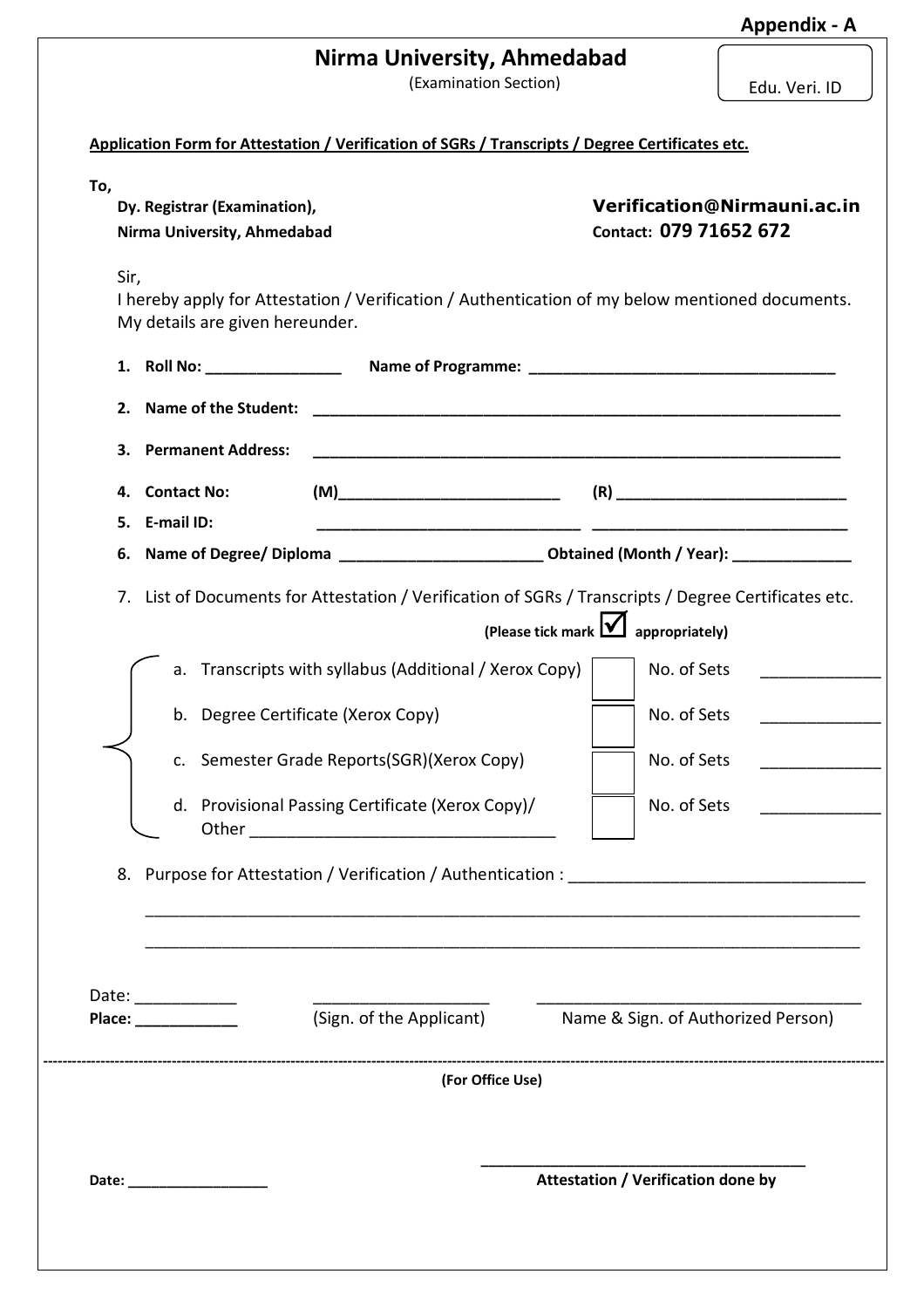| Nirma University, Ahmedabad |  |  |  |
|-----------------------------|--|--|--|
|-----------------------------|--|--|--|

(Examination Section)

|  | Edu. Veri. ID |  |
|--|---------------|--|
|--|---------------|--|

| Dy. Registrar (Examination),<br>Nirma University, Ahmedabad |                                                                                                                                                 | Verification@Nirmauni.ac.in<br>Contact: 079 71652 672       |
|-------------------------------------------------------------|-------------------------------------------------------------------------------------------------------------------------------------------------|-------------------------------------------------------------|
| Sir,<br>My details are given hereunder.                     | I hereby apply for Attestation / Verification / Authentication of my below mentioned documents.                                                 |                                                             |
| 1. Roll No: __________________                              |                                                                                                                                                 |                                                             |
| <b>Name of the Student:</b><br>2.                           |                                                                                                                                                 |                                                             |
| <b>Permanent Address:</b><br>3.                             |                                                                                                                                                 |                                                             |
| <b>Contact No:</b><br>4.                                    |                                                                                                                                                 |                                                             |
| E-mail ID:<br>5.                                            |                                                                                                                                                 |                                                             |
| 6.                                                          | Name of Degree/ Diploma ________________________________ Obtained (Month / Year): _________________                                             |                                                             |
| 7.                                                          | List of Documents for Attestation / Verification of SGRs / Transcripts / Degree Certificates etc.<br>(Please tick mark $\mathbf{\mathsf{\Psi}}$ | appropriately)                                              |
|                                                             | a. Transcripts with syllabus (Additional / Xerox Copy)                                                                                          | No. of Sets                                                 |
|                                                             | b. Degree Certificate (Xerox Copy)                                                                                                              | No. of Sets                                                 |
|                                                             | c. Semester Grade Reports(SGR)(Xerox Copy)                                                                                                      | No. of Sets                                                 |
| Other.                                                      | d. Provisional Passing Certificate (Xerox Copy)/                                                                                                | No. of Sets                                                 |
|                                                             |                                                                                                                                                 |                                                             |
|                                                             |                                                                                                                                                 |                                                             |
|                                                             |                                                                                                                                                 | (Sign. of the Applicant) Name & Sign. of Authorized Person) |
|                                                             |                                                                                                                                                 |                                                             |
| Place: ______________                                       | (For Office Use)                                                                                                                                |                                                             |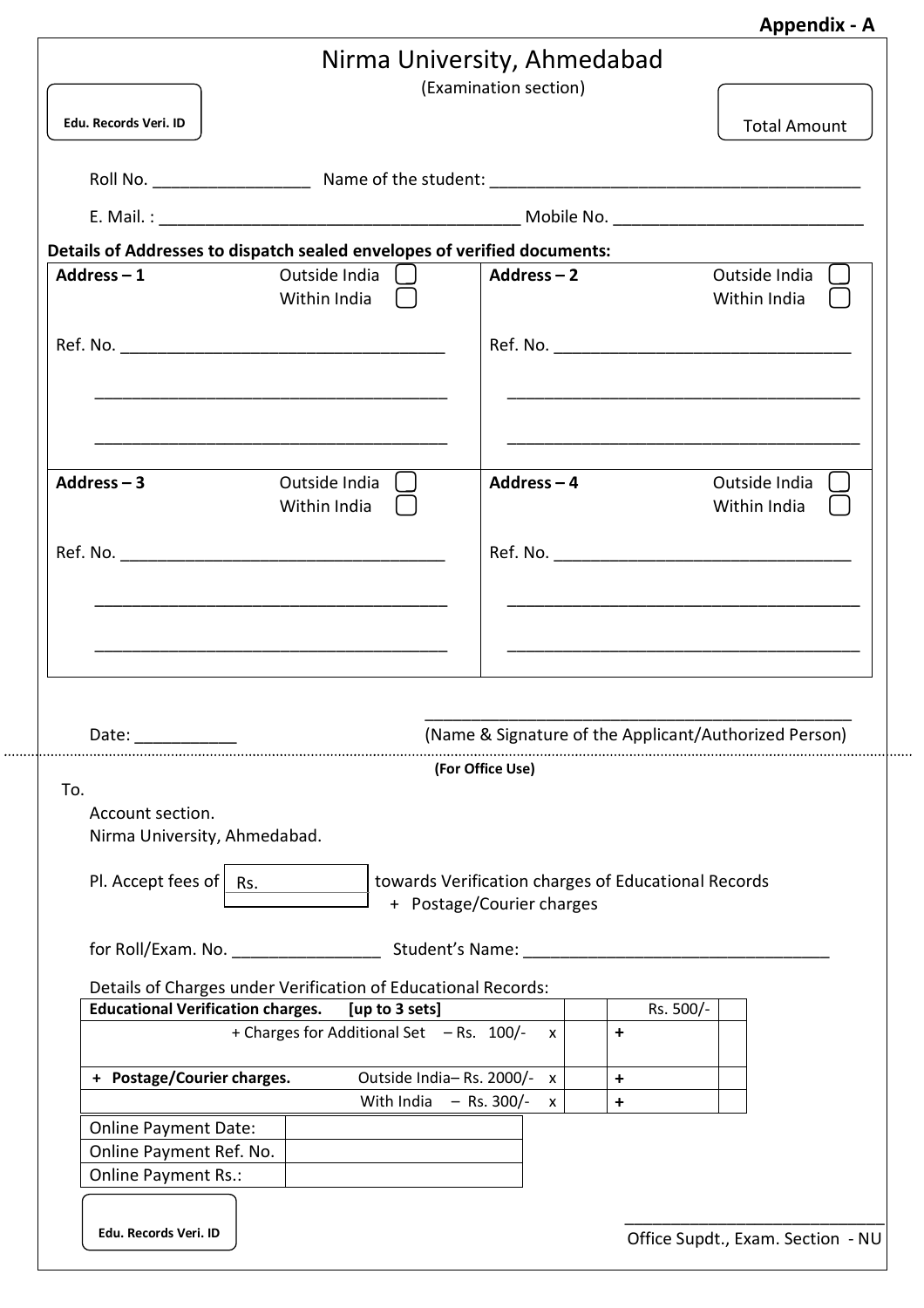|  | <b>Appendix - A</b> |
|--|---------------------|
|--|---------------------|

|                                                                               |                                                                          | Nirma University, Ahmedabad<br>(Examination section)                                                 |                |                                                       |
|-------------------------------------------------------------------------------|--------------------------------------------------------------------------|------------------------------------------------------------------------------------------------------|----------------|-------------------------------------------------------|
| Edu. Records Veri. ID                                                         |                                                                          |                                                                                                      |                | <b>Total Amount</b>                                   |
|                                                                               |                                                                          |                                                                                                      |                |                                                       |
|                                                                               |                                                                          |                                                                                                      |                |                                                       |
|                                                                               | Details of Addresses to dispatch sealed envelopes of verified documents: |                                                                                                      |                |                                                       |
| Address $-1$                                                                  | Outside India $\Box$<br>Within India                                     | Address-2                                                                                            |                | Outside India $\Box$<br>Within India $\Box$           |
|                                                                               |                                                                          |                                                                                                      |                |                                                       |
| Address $-3$                                                                  | Outside India [1]<br>Within India [ ]                                    | Address-4                                                                                            |                | Outside India [1]<br>Within India [ ]                 |
|                                                                               |                                                                          |                                                                                                      |                |                                                       |
| Date:                                                                         |                                                                          |                                                                                                      |                | (Name & Signature of the Applicant/Authorized Person) |
| To.<br>Account section.<br>Nirma University, Ahmedabad.<br>Pl. Accept fees of | Rs.                                                                      | (For Office Use)<br>towards Verification charges of Educational Records<br>+ Postage/Courier charges |                |                                                       |
|                                                                               |                                                                          |                                                                                                      |                |                                                       |
|                                                                               | Details of Charges under Verification of Educational Records:            |                                                                                                      |                |                                                       |
| <b>Educational Verification charges.</b>                                      | [up to 3 sets]<br>+ Charges for Additional Set - Rs. 100/-               | $\mathsf{x}$                                                                                         | Rs. 500/-<br>+ |                                                       |
| + Postage/Courier charges.                                                    | With India                                                               | Outside India-Rs. 2000/- x<br>$-$ Rs. 300/-                                                          | +              |                                                       |
|                                                                               |                                                                          | $\mathsf{x}$                                                                                         | +              |                                                       |
| <b>Online Payment Date:</b><br>Online Payment Ref. No.<br>Online Payment Rs.: |                                                                          |                                                                                                      |                |                                                       |